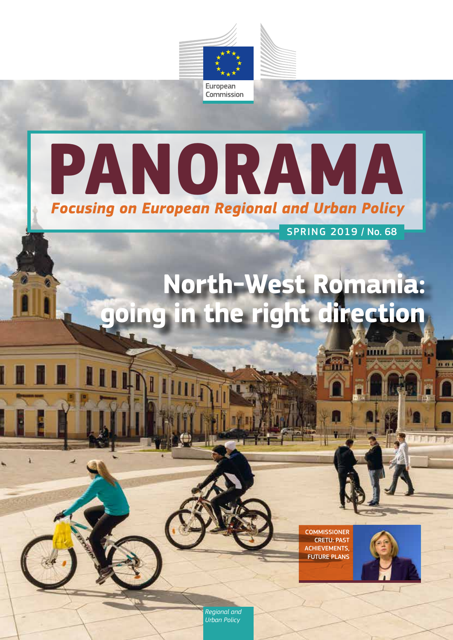



# **North-West Romania: going in the right direction**

**COMMISSIONER** CRETU: PAST ACHIEVEMENTS, FUTURE PLANS



**THITLE** 

*Regional and Urban Policy*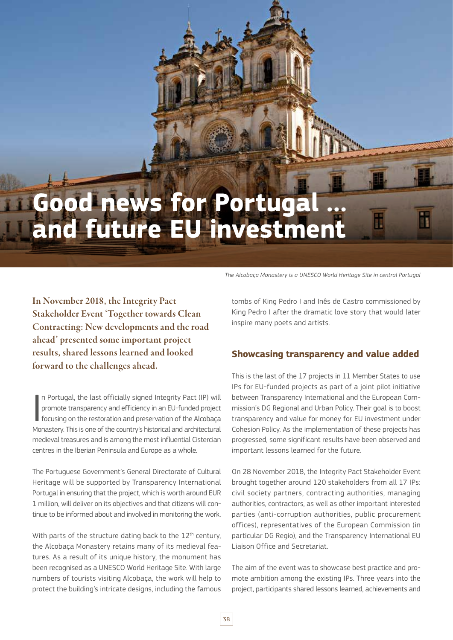## **Good news for Portugal … and future EU investment**

*The Alcobaça Monastery is a UNESCO World Heritage Site in central Portugal*

In November 2018, the Integrity Pact Stakeholder Event 'Together towards Clean Contracting: New developments and the road ahead' presented some important project results, shared lessons learned and looked forward to the challenges ahead.

In Portugal, the last officially signed Integrity Pact (IP) will promote transparency and efficiency in an EU-funded project focusing on the restoration and preservation of the Alcobaça Monastery. This is one of the countr n Portugal, the last officially signed Integrity Pact (IP) will promote transparency and efficiency in an EU-funded project focusing on the restoration and preservation of the Alcobaça medieval treasures and is among the most influential Cistercian centres in the Iberian Peninsula and Europe as a whole.

The Portuguese Government's General Directorate of Cultural Heritage will be supported by Transparency International Portugal in ensuring that the project, which is worth around EUR 1 million, will deliver on its objectives and that citizens will continue to be informed about and involved in monitoring the work.

With parts of the structure dating back to the  $12<sup>th</sup>$  century, the Alcobaça Monastery retains many of its medieval features. As a result of its unique history, the monument has been recognised as a UNESCO World Heritage Site. With large numbers of tourists visiting Alcobaça, the work will help to protect the building's intricate designs, including the famous

tombs of King Pedro I and Inês de Castro commissioned by King Pedro I after the dramatic love story that would later inspire many poets and artists.

#### **Showcasing transparency and value added**

This is the last of the 17 projects in 11 Member States to use IPs for EU-funded projects as part of a joint pilot initiative between Transparency International and the European Commission's DG Regional and Urban Policy. Their goal is to boost transparency and value for money for EU investment under Cohesion Policy. As the implementation of these projects has progressed, some significant results have been observed and important lessons learned for the future.

On 28 November 2018, the Integrity Pact Stakeholder Event brought together around 120 stakeholders from all 17 IPs: civil society partners, contracting authorities, managing authorities, contractors, as well as other important interested parties (anti-corruption authorities, public procurement offices), representatives of the European Commission (in particular DG Regio), and the Transparency International EU Liaison Office and Secretariat.

The aim of the event was to showcase best practice and promote ambition among the existing IPs. Three years into the project, participants shared lessons learned, achievements and